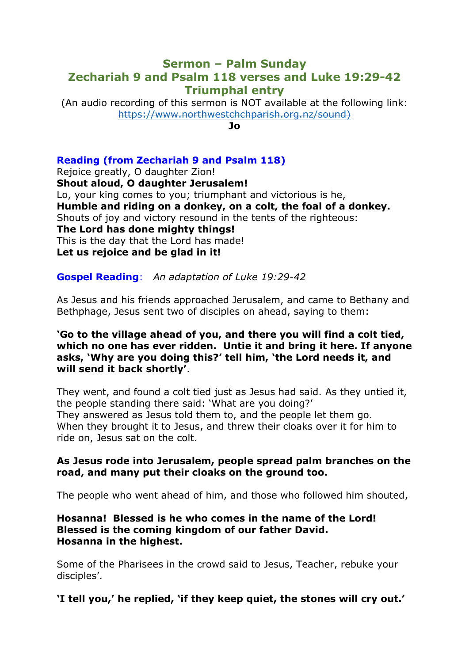# **Sermon – Palm Sunday Zechariah 9 and Psalm 118 verses and Luke 19:29-42 Triumphal entry**

(An audio recording of this sermon is NOT available at the following link: [https://www.northwestchchparish.org.nz/sound\)](https://www.northwestchchparish.org.nz/sound)

**Jo**

## **Reading (from Zechariah 9 and Psalm 118)**

Rejoice greatly, O daughter Zion! **Shout aloud, O daughter Jerusalem!**  Lo, your king comes to you; triumphant and victorious is he, **Humble and riding on a donkey, on a colt, the foal of a donkey.** Shouts of joy and victory resound in the tents of the righteous: **The Lord has done mighty things!** This is the day that the Lord has made! **Let us rejoice and be glad in it!**

### **Gospel Reading**: *An adaptation of Luke 19:29-42*

As Jesus and his friends approached Jerusalem, and came to Bethany and Bethphage, Jesus sent two of disciples on ahead, saying to them:

### **'Go to the village ahead of you, and there you will find a colt tied, which no one has ever ridden. Untie it and bring it here. If anyone asks, 'Why are you doing this?' tell him, 'the Lord needs it, and will send it back shortly'**.

They went, and found a colt tied just as Jesus had said. As they untied it, the people standing there said: 'What are you doing?' They answered as Jesus told them to, and the people let them go. When they brought it to Jesus, and threw their cloaks over it for him to ride on, Jesus sat on the colt.

#### **As Jesus rode into Jerusalem, people spread palm branches on the road, and many put their cloaks on the ground too.**

The people who went ahead of him, and those who followed him shouted,

#### **Hosanna! Blessed is he who comes in the name of the Lord! Blessed is the coming kingdom of our father David. Hosanna in the highest.**

Some of the Pharisees in the crowd said to Jesus, Teacher, rebuke your disciples'.

## **'I tell you,' he replied, 'if they keep quiet, the stones will cry out.'**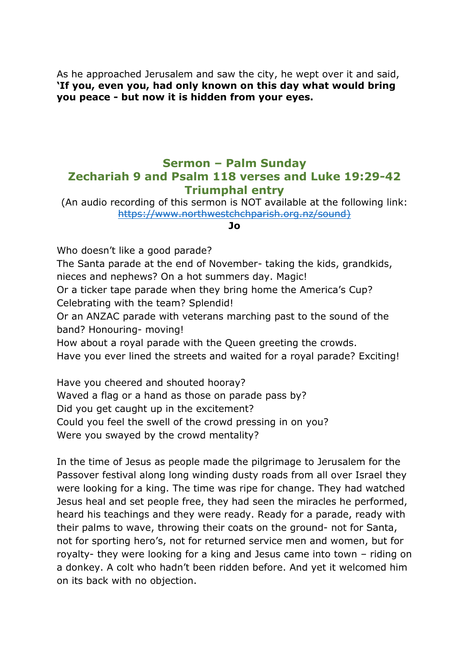As he approached Jerusalem and saw the city, he wept over it and said, **'If you, even you, had only known on this day what would bring you peace - but now it is hidden from your eyes.**

# **Sermon – Palm Sunday Zechariah 9 and Psalm 118 verses and Luke 19:29-42 Triumphal entry**

(An audio recording of this sermon is NOT available at the following link: [https://www.northwestchchparish.org.nz/sound\)](https://www.northwestchchparish.org.nz/sound)

#### **Jo**

Who doesn't like a good parade?

The Santa parade at the end of November- taking the kids, grandkids, nieces and nephews? On a hot summers day. Magic!

Or a ticker tape parade when they bring home the America's Cup? Celebrating with the team? Splendid!

Or an ANZAC parade with veterans marching past to the sound of the band? Honouring- moving!

How about a royal parade with the Queen greeting the crowds.

Have you ever lined the streets and waited for a royal parade? Exciting!

Have you cheered and shouted hooray? Waved a flag or a hand as those on parade pass by? Did you get caught up in the excitement? Could you feel the swell of the crowd pressing in on you? Were you swayed by the crowd mentality?

In the time of Jesus as people made the pilgrimage to Jerusalem for the Passover festival along long winding dusty roads from all over Israel they were looking for a king. The time was ripe for change. They had watched Jesus heal and set people free, they had seen the miracles he performed, heard his teachings and they were ready. Ready for a parade, ready with their palms to wave, throwing their coats on the ground- not for Santa, not for sporting hero's, not for returned service men and women, but for royalty- they were looking for a king and Jesus came into town – riding on a donkey. A colt who hadn't been ridden before. And yet it welcomed him on its back with no objection.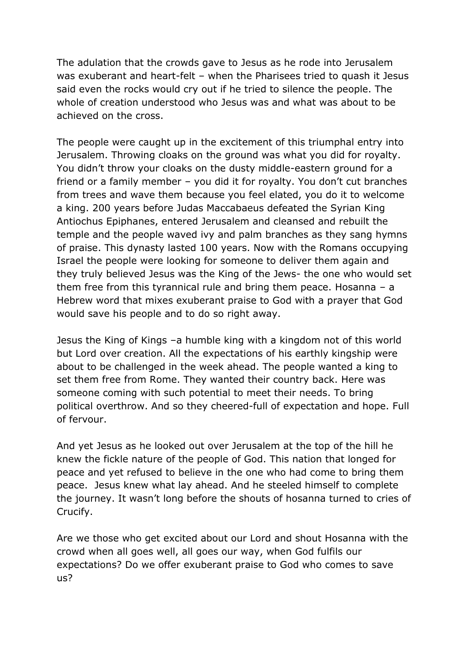The adulation that the crowds gave to Jesus as he rode into Jerusalem was exuberant and heart-felt – when the Pharisees tried to quash it Jesus said even the rocks would cry out if he tried to silence the people. The whole of creation understood who Jesus was and what was about to be achieved on the cross.

The people were caught up in the excitement of this triumphal entry into Jerusalem. Throwing cloaks on the ground was what you did for royalty. You didn't throw your cloaks on the dusty middle-eastern ground for a friend or a family member – you did it for royalty. You don't cut branches from trees and wave them because you feel elated, you do it to welcome a king. 200 years before Judas Maccabaeus defeated the Syrian King Antiochus Epiphanes, entered Jerusalem and cleansed and rebuilt the temple and the people waved ivy and palm branches as they sang hymns of praise. This dynasty lasted 100 years. Now with the Romans occupying Israel the people were looking for someone to deliver them again and they truly believed Jesus was the King of the Jews- the one who would set them free from this tyrannical rule and bring them peace. Hosanna – a Hebrew word that mixes exuberant praise to God with a prayer that God would save his people and to do so right away.

Jesus the King of Kings –a humble king with a kingdom not of this world but Lord over creation. All the expectations of his earthly kingship were about to be challenged in the week ahead. The people wanted a king to set them free from Rome. They wanted their country back. Here was someone coming with such potential to meet their needs. To bring political overthrow. And so they cheered-full of expectation and hope. Full of fervour.

And yet Jesus as he looked out over Jerusalem at the top of the hill he knew the fickle nature of the people of God. This nation that longed for peace and yet refused to believe in the one who had come to bring them peace. Jesus knew what lay ahead. And he steeled himself to complete the journey. It wasn't long before the shouts of hosanna turned to cries of Crucify.

Are we those who get excited about our Lord and shout Hosanna with the crowd when all goes well, all goes our way, when God fulfils our expectations? Do we offer exuberant praise to God who comes to save us?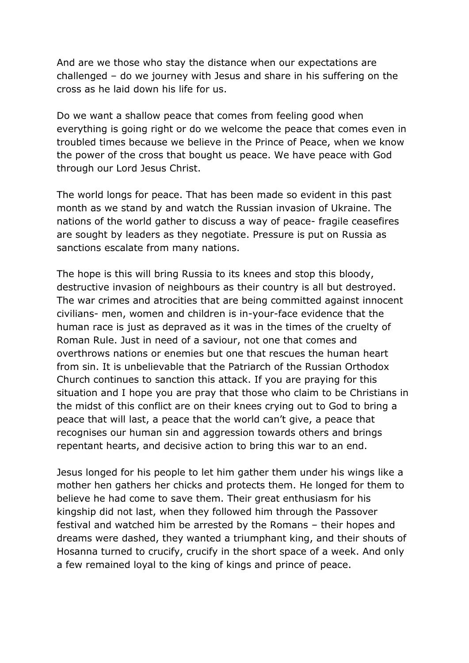And are we those who stay the distance when our expectations are challenged – do we journey with Jesus and share in his suffering on the cross as he laid down his life for us.

Do we want a shallow peace that comes from feeling good when everything is going right or do we welcome the peace that comes even in troubled times because we believe in the Prince of Peace, when we know the power of the cross that bought us peace. We have peace with God through our Lord Jesus Christ.

The world longs for peace. That has been made so evident in this past month as we stand by and watch the Russian invasion of Ukraine. The nations of the world gather to discuss a way of peace- fragile ceasefires are sought by leaders as they negotiate. Pressure is put on Russia as sanctions escalate from many nations.

The hope is this will bring Russia to its knees and stop this bloody, destructive invasion of neighbours as their country is all but destroyed. The war crimes and atrocities that are being committed against innocent civilians- men, women and children is in-your-face evidence that the human race is just as depraved as it was in the times of the cruelty of Roman Rule. Just in need of a saviour, not one that comes and overthrows nations or enemies but one that rescues the human heart from sin. It is unbelievable that the Patriarch of the Russian Orthodox Church continues to sanction this attack. If you are praying for this situation and I hope you are pray that those who claim to be Christians in the midst of this conflict are on their knees crying out to God to bring a peace that will last, a peace that the world can't give, a peace that recognises our human sin and aggression towards others and brings repentant hearts, and decisive action to bring this war to an end.

Jesus longed for his people to let him gather them under his wings like a mother hen gathers her chicks and protects them. He longed for them to believe he had come to save them. Their great enthusiasm for his kingship did not last, when they followed him through the Passover festival and watched him be arrested by the Romans – their hopes and dreams were dashed, they wanted a triumphant king, and their shouts of Hosanna turned to crucify, crucify in the short space of a week. And only a few remained loyal to the king of kings and prince of peace.